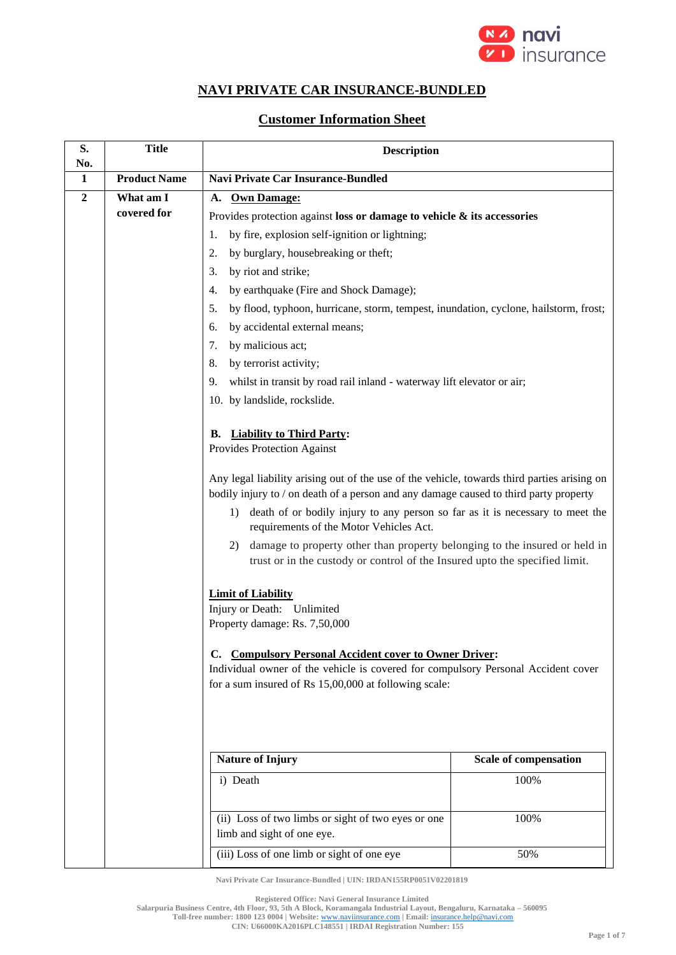

## **NAVI PRIVATE CAR INSURANCE-BUNDLED**

## **Customer Information Sheet**

| S.                  | <b>Title</b>        | <b>Description</b>                                                                                                                                                                                                                                                                                                                                                                                                                                                                                                                                              |                              |
|---------------------|---------------------|-----------------------------------------------------------------------------------------------------------------------------------------------------------------------------------------------------------------------------------------------------------------------------------------------------------------------------------------------------------------------------------------------------------------------------------------------------------------------------------------------------------------------------------------------------------------|------------------------------|
| No.<br>$\mathbf{1}$ | <b>Product Name</b> | <b>Navi Private Car Insurance-Bundled</b>                                                                                                                                                                                                                                                                                                                                                                                                                                                                                                                       |                              |
| $\overline{2}$      | What am I           | <b>Own Damage:</b><br>A.                                                                                                                                                                                                                                                                                                                                                                                                                                                                                                                                        |                              |
|                     | covered for         | Provides protection against loss or damage to vehicle $\&$ its accessories                                                                                                                                                                                                                                                                                                                                                                                                                                                                                      |                              |
|                     |                     | by fire, explosion self-ignition or lightning;<br>1.                                                                                                                                                                                                                                                                                                                                                                                                                                                                                                            |                              |
|                     |                     | by burglary, housebreaking or theft;<br>2.                                                                                                                                                                                                                                                                                                                                                                                                                                                                                                                      |                              |
|                     |                     | 3.<br>by riot and strike;                                                                                                                                                                                                                                                                                                                                                                                                                                                                                                                                       |                              |
|                     |                     | $\overline{4}$ .<br>by earthquake (Fire and Shock Damage);                                                                                                                                                                                                                                                                                                                                                                                                                                                                                                      |                              |
|                     |                     | by flood, typhoon, hurricane, storm, tempest, inundation, cyclone, hailstorm, frost;<br>5.                                                                                                                                                                                                                                                                                                                                                                                                                                                                      |                              |
|                     |                     | by accidental external means;<br>6.                                                                                                                                                                                                                                                                                                                                                                                                                                                                                                                             |                              |
|                     |                     | 7.<br>by malicious act;                                                                                                                                                                                                                                                                                                                                                                                                                                                                                                                                         |                              |
|                     |                     | by terrorist activity;<br>8.                                                                                                                                                                                                                                                                                                                                                                                                                                                                                                                                    |                              |
|                     |                     | 9.<br>whilst in transit by road rail inland - waterway lift elevator or air;                                                                                                                                                                                                                                                                                                                                                                                                                                                                                    |                              |
|                     |                     | 10. by landslide, rockslide.                                                                                                                                                                                                                                                                                                                                                                                                                                                                                                                                    |                              |
|                     |                     | <b>Liability to Third Party:</b><br>В.<br>Provides Protection Against<br>Any legal liability arising out of the use of the vehicle, towards third parties arising on<br>bodily injury to / on death of a person and any damage caused to third party property<br>1) death of or bodily injury to any person so far as it is necessary to meet the<br>requirements of the Motor Vehicles Act.<br>damage to property other than property belonging to the insured or held in<br>2)<br>trust or in the custody or control of the Insured upto the specified limit. |                              |
|                     |                     | <b>Limit of Liability</b><br>Injury or Death: Unlimited<br>Property damage: Rs. 7,50,000<br><b>Compulsory Personal Accident cover to Owner Driver:</b><br>C.<br>Individual owner of the vehicle is covered for compulsory Personal Accident cover<br>for a sum insured of Rs 15,00,000 at following scale:                                                                                                                                                                                                                                                      |                              |
|                     |                     | <b>Nature of Injury</b>                                                                                                                                                                                                                                                                                                                                                                                                                                                                                                                                         | <b>Scale of compensation</b> |
|                     |                     | i) Death                                                                                                                                                                                                                                                                                                                                                                                                                                                                                                                                                        | 100%                         |
|                     |                     | (ii) Loss of two limbs or sight of two eyes or one<br>limb and sight of one eye.                                                                                                                                                                                                                                                                                                                                                                                                                                                                                | 100%                         |
|                     |                     | (iii) Loss of one limb or sight of one eye                                                                                                                                                                                                                                                                                                                                                                                                                                                                                                                      | 50%                          |

**Navi Private Car Insurance-Bundled | UIN: IRDAN155RP0051V02201819**

**Registered Office: Navi General Insurance Limited**

**Salarpuria Business Centre, 4th Floor, 93, 5th A Block, Koramangala Industrial Layout, Bengaluru, Karnataka – 560095**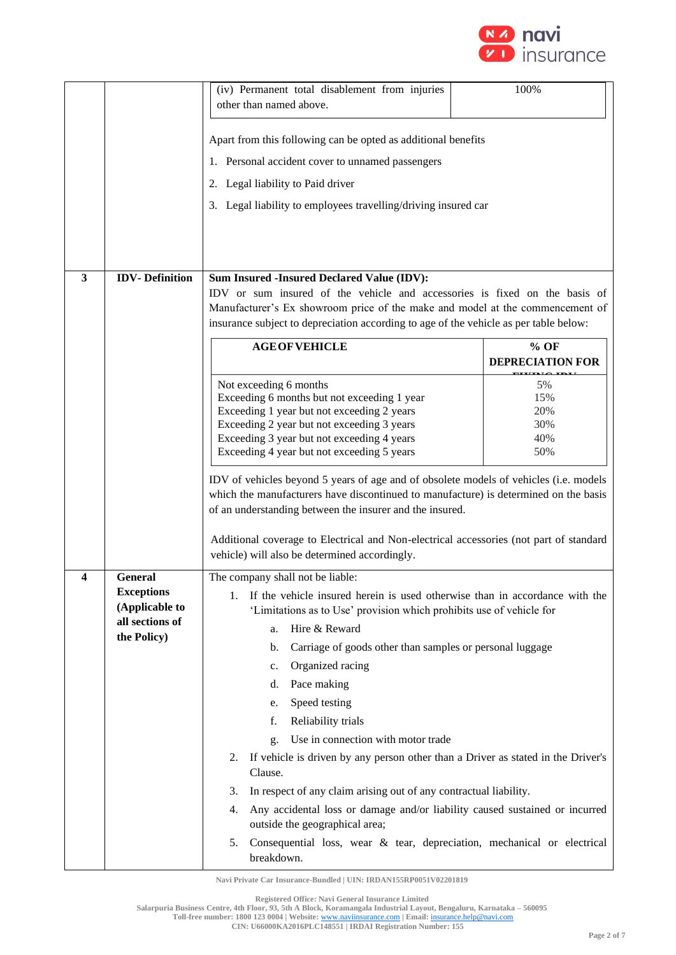

|   |                                | (iv) Permanent total disablement from injuries<br>other than named above.                                                                                                                                                                                                                                                                                                            | 100%                    |
|---|--------------------------------|--------------------------------------------------------------------------------------------------------------------------------------------------------------------------------------------------------------------------------------------------------------------------------------------------------------------------------------------------------------------------------------|-------------------------|
|   |                                |                                                                                                                                                                                                                                                                                                                                                                                      |                         |
|   |                                | Apart from this following can be opted as additional benefits                                                                                                                                                                                                                                                                                                                        |                         |
|   |                                | 1. Personal accident cover to unnamed passengers                                                                                                                                                                                                                                                                                                                                     |                         |
|   |                                | 2. Legal liability to Paid driver                                                                                                                                                                                                                                                                                                                                                    |                         |
|   |                                | 3. Legal liability to employees travelling/driving insured car                                                                                                                                                                                                                                                                                                                       |                         |
|   |                                |                                                                                                                                                                                                                                                                                                                                                                                      |                         |
|   |                                |                                                                                                                                                                                                                                                                                                                                                                                      |                         |
| 3 | <b>IDV-Definition</b>          | Sum Insured -Insured Declared Value (IDV):                                                                                                                                                                                                                                                                                                                                           |                         |
|   |                                | IDV or sum insured of the vehicle and accessories is fixed on the basis of                                                                                                                                                                                                                                                                                                           |                         |
|   |                                | Manufacturer's Ex showroom price of the make and model at the commencement of                                                                                                                                                                                                                                                                                                        |                         |
|   |                                | insurance subject to depreciation according to age of the vehicle as per table below:                                                                                                                                                                                                                                                                                                |                         |
|   |                                | <b>AGE OF VEHICLE</b>                                                                                                                                                                                                                                                                                                                                                                | $%$ OF                  |
|   |                                |                                                                                                                                                                                                                                                                                                                                                                                      | <b>DEPRECIATION FOR</b> |
|   |                                | Not exceeding 6 months                                                                                                                                                                                                                                                                                                                                                               | 5%                      |
|   |                                | Exceeding 6 months but not exceeding 1 year<br>Exceeding 1 year but not exceeding 2 years                                                                                                                                                                                                                                                                                            | 15%<br>20%              |
|   |                                | Exceeding 2 year but not exceeding 3 years                                                                                                                                                                                                                                                                                                                                           | 30%                     |
|   |                                | Exceeding 3 year but not exceeding 4 years                                                                                                                                                                                                                                                                                                                                           | 40%                     |
|   |                                | Exceeding 4 year but not exceeding 5 years                                                                                                                                                                                                                                                                                                                                           | 50%                     |
|   |                                | IDV of vehicles beyond 5 years of age and of obsolete models of vehicles (i.e. models<br>which the manufacturers have discontinued to manufacture) is determined on the basis<br>of an understanding between the insurer and the insured.<br>Additional coverage to Electrical and Non-electrical accessories (not part of standard<br>vehicle) will also be determined accordingly. |                         |
| 4 | General                        | The company shall not be liable:                                                                                                                                                                                                                                                                                                                                                     |                         |
|   | <b>Exceptions</b>              | If the vehicle insured herein is used otherwise than in accordance with the<br>1.                                                                                                                                                                                                                                                                                                    |                         |
|   | (Applicable to                 | 'Limitations as to Use' provision which prohibits use of vehicle for                                                                                                                                                                                                                                                                                                                 |                         |
|   | all sections of<br>the Policy) | Hire & Reward<br>a.                                                                                                                                                                                                                                                                                                                                                                  |                         |
|   |                                | Carriage of goods other than samples or personal luggage<br>b.                                                                                                                                                                                                                                                                                                                       |                         |
|   |                                | Organized racing<br>c.                                                                                                                                                                                                                                                                                                                                                               |                         |
|   |                                | Pace making<br>d.                                                                                                                                                                                                                                                                                                                                                                    |                         |
|   |                                | Speed testing<br>e.                                                                                                                                                                                                                                                                                                                                                                  |                         |
|   |                                | Reliability trials<br>f.                                                                                                                                                                                                                                                                                                                                                             |                         |
|   |                                | Use in connection with motor trade<br>g.                                                                                                                                                                                                                                                                                                                                             |                         |
|   |                                | If vehicle is driven by any person other than a Driver as stated in the Driver's<br>2.<br>Clause.                                                                                                                                                                                                                                                                                    |                         |
|   |                                | In respect of any claim arising out of any contractual liability.<br>3.                                                                                                                                                                                                                                                                                                              |                         |
|   |                                | Any accidental loss or damage and/or liability caused sustained or incurred<br>4.<br>outside the geographical area;                                                                                                                                                                                                                                                                  |                         |
|   |                                | Consequential loss, wear & tear, depreciation, mechanical or electrical<br>5.                                                                                                                                                                                                                                                                                                        |                         |
|   |                                | breakdown.                                                                                                                                                                                                                                                                                                                                                                           |                         |

**Registered Office: Navi General Insurance Limited**

**Salarpuria Business Centre, 4th Floor, 93, 5th A Block, Koramangala Industrial Layout, Bengaluru, Karnataka – 560095**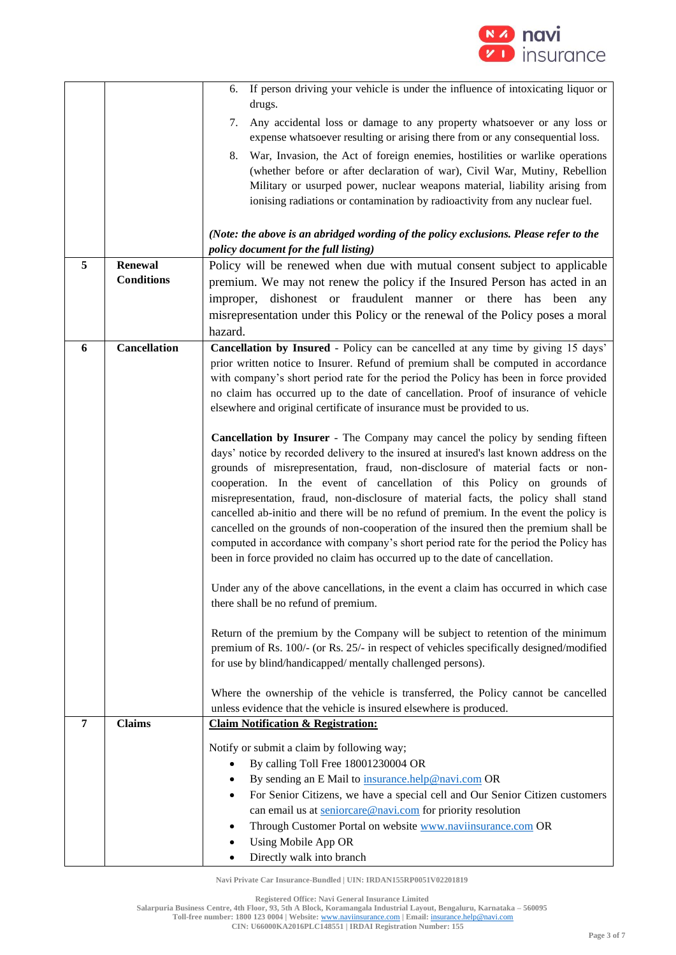

|   |                     | If person driving your vehicle is under the influence of intoxicating liquor or<br>6.                                                                                                                                                                                                                                                                                                                                                                                                                                                                                                                                                                                                                                                                                                 |  |
|---|---------------------|---------------------------------------------------------------------------------------------------------------------------------------------------------------------------------------------------------------------------------------------------------------------------------------------------------------------------------------------------------------------------------------------------------------------------------------------------------------------------------------------------------------------------------------------------------------------------------------------------------------------------------------------------------------------------------------------------------------------------------------------------------------------------------------|--|
|   |                     | drugs.<br>Any accidental loss or damage to any property whatsoever or any loss or<br>7.                                                                                                                                                                                                                                                                                                                                                                                                                                                                                                                                                                                                                                                                                               |  |
|   |                     | expense whatsoever resulting or arising there from or any consequential loss.<br>War, Invasion, the Act of foreign enemies, hostilities or warlike operations<br>8.                                                                                                                                                                                                                                                                                                                                                                                                                                                                                                                                                                                                                   |  |
|   |                     | (whether before or after declaration of war), Civil War, Mutiny, Rebellion<br>Military or usurped power, nuclear weapons material, liability arising from<br>ionising radiations or contamination by radioactivity from any nuclear fuel.                                                                                                                                                                                                                                                                                                                                                                                                                                                                                                                                             |  |
|   |                     | (Note: the above is an abridged wording of the policy exclusions. Please refer to the<br>policy document for the full listing)                                                                                                                                                                                                                                                                                                                                                                                                                                                                                                                                                                                                                                                        |  |
| 5 | <b>Renewal</b>      | Policy will be renewed when due with mutual consent subject to applicable                                                                                                                                                                                                                                                                                                                                                                                                                                                                                                                                                                                                                                                                                                             |  |
|   | <b>Conditions</b>   | premium. We may not renew the policy if the Insured Person has acted in an                                                                                                                                                                                                                                                                                                                                                                                                                                                                                                                                                                                                                                                                                                            |  |
|   |                     | dishonest or fraudulent manner or there has been<br>improper,<br>any                                                                                                                                                                                                                                                                                                                                                                                                                                                                                                                                                                                                                                                                                                                  |  |
|   |                     | misrepresentation under this Policy or the renewal of the Policy poses a moral                                                                                                                                                                                                                                                                                                                                                                                                                                                                                                                                                                                                                                                                                                        |  |
|   |                     | hazard.                                                                                                                                                                                                                                                                                                                                                                                                                                                                                                                                                                                                                                                                                                                                                                               |  |
| 6 | <b>Cancellation</b> | Cancellation by Insured - Policy can be cancelled at any time by giving 15 days'<br>prior written notice to Insurer. Refund of premium shall be computed in accordance<br>with company's short period rate for the period the Policy has been in force provided<br>no claim has occurred up to the date of cancellation. Proof of insurance of vehicle<br>elsewhere and original certificate of insurance must be provided to us.                                                                                                                                                                                                                                                                                                                                                     |  |
|   |                     | Cancellation by Insurer - The Company may cancel the policy by sending fifteen<br>days' notice by recorded delivery to the insured at insured's last known address on the<br>grounds of misrepresentation, fraud, non-disclosure of material facts or non-<br>cooperation. In the event of cancellation of this Policy on grounds of<br>misrepresentation, fraud, non-disclosure of material facts, the policy shall stand<br>cancelled ab-initio and there will be no refund of premium. In the event the policy is<br>cancelled on the grounds of non-cooperation of the insured then the premium shall be<br>computed in accordance with company's short period rate for the period the Policy has<br>been in force provided no claim has occurred up to the date of cancellation. |  |
|   |                     | Under any of the above cancellations, in the event a claim has occurred in which case<br>there shall be no refund of premium.                                                                                                                                                                                                                                                                                                                                                                                                                                                                                                                                                                                                                                                         |  |
|   |                     | Return of the premium by the Company will be subject to retention of the minimum<br>premium of Rs. 100/- (or Rs. 25/- in respect of vehicles specifically designed/modified<br>for use by blind/handicapped/ mentally challenged persons).                                                                                                                                                                                                                                                                                                                                                                                                                                                                                                                                            |  |
|   |                     | Where the ownership of the vehicle is transferred, the Policy cannot be cancelled<br>unless evidence that the vehicle is insured elsewhere is produced.                                                                                                                                                                                                                                                                                                                                                                                                                                                                                                                                                                                                                               |  |
| 7 | <b>Claims</b>       | <b>Claim Notification &amp; Registration:</b>                                                                                                                                                                                                                                                                                                                                                                                                                                                                                                                                                                                                                                                                                                                                         |  |
|   |                     | Notify or submit a claim by following way;                                                                                                                                                                                                                                                                                                                                                                                                                                                                                                                                                                                                                                                                                                                                            |  |
|   |                     | By calling Toll Free 18001230004 OR                                                                                                                                                                                                                                                                                                                                                                                                                                                                                                                                                                                                                                                                                                                                                   |  |
|   |                     | By sending an E Mail to insurance.help@navi.com OR                                                                                                                                                                                                                                                                                                                                                                                                                                                                                                                                                                                                                                                                                                                                    |  |
|   |                     | For Senior Citizens, we have a special cell and Our Senior Citizen customers                                                                                                                                                                                                                                                                                                                                                                                                                                                                                                                                                                                                                                                                                                          |  |
|   |                     | can email us at seniorcare@navi.com for priority resolution                                                                                                                                                                                                                                                                                                                                                                                                                                                                                                                                                                                                                                                                                                                           |  |
|   |                     | Through Customer Portal on website <b>www.naviinsurance.com</b> OR                                                                                                                                                                                                                                                                                                                                                                                                                                                                                                                                                                                                                                                                                                                    |  |
|   |                     | Using Mobile App OR<br>Directly walk into branch                                                                                                                                                                                                                                                                                                                                                                                                                                                                                                                                                                                                                                                                                                                                      |  |
|   |                     |                                                                                                                                                                                                                                                                                                                                                                                                                                                                                                                                                                                                                                                                                                                                                                                       |  |

**Registered Office: Navi General Insurance Limited**

**Salarpuria Business Centre, 4th Floor, 93, 5th A Block, Koramangala Industrial Layout, Bengaluru, Karnataka – 560095**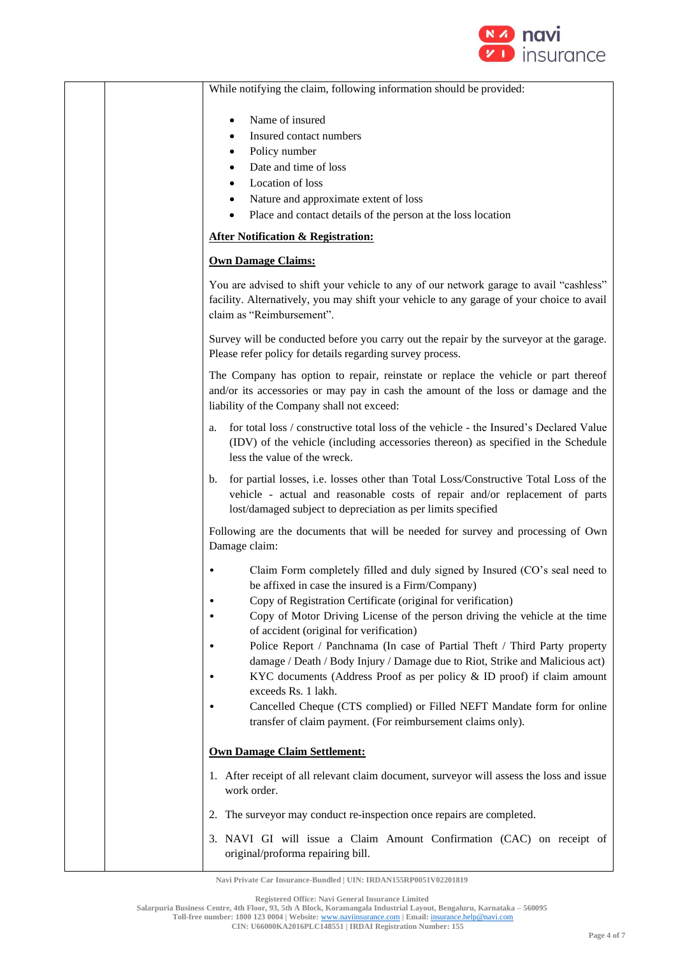

While notifying the claim, following information should be provided: Name of insured Insured contact numbers Policy number • Date and time of loss • Location of loss • Nature and approximate extent of loss • Place and contact details of the person at the loss location **After Notification & Registration: Own Damage Claims:** You are advised to shift your vehicle to any of our network garage to avail "cashless" facility. Alternatively, you may shift your vehicle to any garage of your choice to avail claim as "Reimbursement". Survey will be conducted before you carry out the repair by the surveyor at the garage. Please refer policy for details regarding survey process. The Company has option to repair, reinstate or replace the vehicle or part thereof and/or its accessories or may pay in cash the amount of the loss or damage and the liability of the Company shall not exceed: a. for total loss / constructive total loss of the vehicle - the Insured's Declared Value (IDV) of the vehicle (including accessories thereon) as specified in the Schedule less the value of the wreck. b. for partial losses, i.e. losses other than Total Loss/Constructive Total Loss of the vehicle - actual and reasonable costs of repair and/or replacement of parts lost/damaged subject to depreciation as per limits specified Following are the documents that will be needed for survey and processing of Own Damage claim: • Claim Form completely filled and duly signed by Insured (CO's seal need to be affixed in case the insured is a Firm/Company) • Copy of Registration Certificate (original for verification) • Copy of Motor Driving License of the person driving the vehicle at the time of accident (original for verification) • Police Report / Panchnama (In case of Partial Theft / Third Party property damage / Death / Body Injury / Damage due to Riot, Strike and Malicious act) • KYC documents (Address Proof as per policy & ID proof) if claim amount exceeds Rs. 1 lakh. • Cancelled Cheque (CTS complied) or Filled NEFT Mandate form for online transfer of claim payment. (For reimbursement claims only). **Own Damage Claim Settlement:** 1. After receipt of all relevant claim document, surveyor will assess the loss and issue work order 2. The surveyor may conduct re-inspection once repairs are completed. 3. NAVI GI will issue a Claim Amount Confirmation (CAC) on receipt of original/proforma repairing bill.

**Navi Private Car Insurance-Bundled | UIN: IRDAN155RP0051V02201819**

**Salarpuria Business Centre, 4th Floor, 93, 5th A Block, Koramangala Industrial Layout, Bengaluru, Karnataka – 560095**

**Registered Office: Navi General Insurance Limited**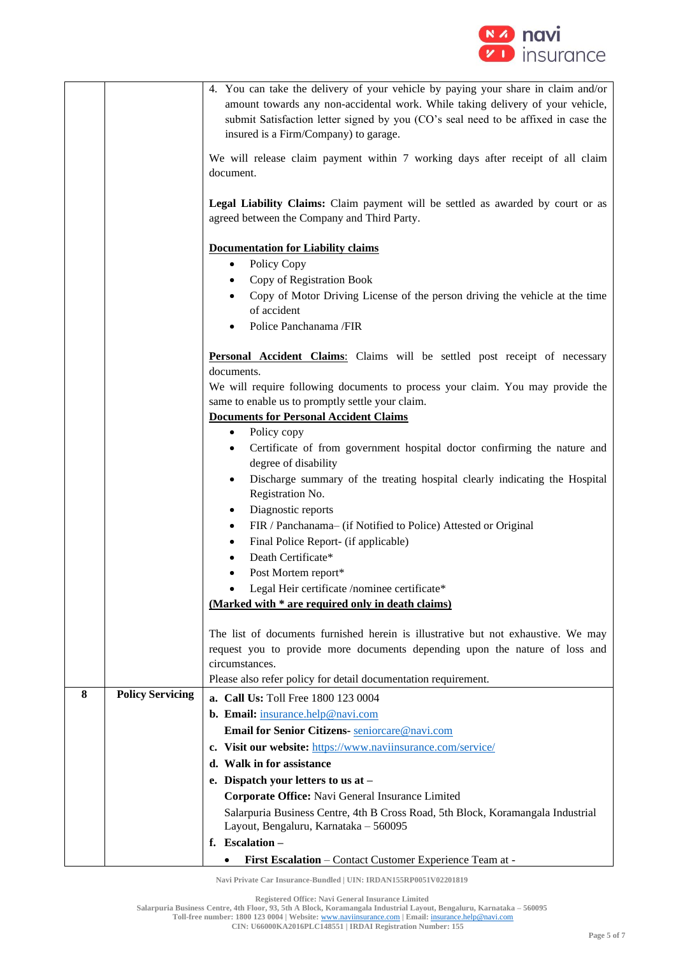

|   |                         | 4. You can take the delivery of your vehicle by paying your share in claim and/or<br>amount towards any non-accidental work. While taking delivery of your vehicle,<br>submit Satisfaction letter signed by you (CO's seal need to be affixed in case the<br>insured is a Firm/Company) to garage. |  |
|---|-------------------------|----------------------------------------------------------------------------------------------------------------------------------------------------------------------------------------------------------------------------------------------------------------------------------------------------|--|
|   |                         | We will release claim payment within 7 working days after receipt of all claim<br>document.                                                                                                                                                                                                        |  |
|   |                         |                                                                                                                                                                                                                                                                                                    |  |
|   |                         | Legal Liability Claims: Claim payment will be settled as awarded by court or as<br>agreed between the Company and Third Party.                                                                                                                                                                     |  |
|   |                         | <b>Documentation for Liability claims</b>                                                                                                                                                                                                                                                          |  |
|   |                         | Policy Copy<br>$\bullet$                                                                                                                                                                                                                                                                           |  |
|   |                         | Copy of Registration Book                                                                                                                                                                                                                                                                          |  |
|   |                         | Copy of Motor Driving License of the person driving the vehicle at the time                                                                                                                                                                                                                        |  |
|   |                         | of accident                                                                                                                                                                                                                                                                                        |  |
|   |                         | Police Panchanama /FIR                                                                                                                                                                                                                                                                             |  |
|   |                         | Personal Accident Claims: Claims will be settled post receipt of necessary<br>documents.                                                                                                                                                                                                           |  |
|   |                         | We will require following documents to process your claim. You may provide the                                                                                                                                                                                                                     |  |
|   |                         | same to enable us to promptly settle your claim.                                                                                                                                                                                                                                                   |  |
|   |                         | <b>Documents for Personal Accident Claims</b>                                                                                                                                                                                                                                                      |  |
|   |                         | Policy copy<br>$\bullet$                                                                                                                                                                                                                                                                           |  |
|   |                         | Certificate of from government hospital doctor confirming the nature and<br>$\bullet$<br>degree of disability                                                                                                                                                                                      |  |
|   |                         | Discharge summary of the treating hospital clearly indicating the Hospital<br>$\bullet$                                                                                                                                                                                                            |  |
|   |                         | Registration No.<br>Diagnostic reports                                                                                                                                                                                                                                                             |  |
|   |                         | FIR / Panchanama- (if Notified to Police) Attested or Original<br>٠                                                                                                                                                                                                                                |  |
|   |                         | Final Police Report- (if applicable)<br>٠                                                                                                                                                                                                                                                          |  |
|   |                         | Death Certificate*                                                                                                                                                                                                                                                                                 |  |
|   |                         | Post Mortem report*                                                                                                                                                                                                                                                                                |  |
|   |                         | Legal Heir certificate /nominee certificate*                                                                                                                                                                                                                                                       |  |
|   |                         | (Marked with * are required only in death claims)                                                                                                                                                                                                                                                  |  |
|   |                         |                                                                                                                                                                                                                                                                                                    |  |
|   |                         | The list of documents furnished herein is illustrative but not exhaustive. We may<br>request you to provide more documents depending upon the nature of loss and                                                                                                                                   |  |
|   |                         | circumstances.                                                                                                                                                                                                                                                                                     |  |
|   |                         | Please also refer policy for detail documentation requirement.                                                                                                                                                                                                                                     |  |
| 8 | <b>Policy Servicing</b> | <b>a. Call Us:</b> Toll Free 1800 123 0004                                                                                                                                                                                                                                                         |  |
|   |                         | b. Email: insurance.help@navi.com                                                                                                                                                                                                                                                                  |  |
|   |                         | Email for Senior Citizens- seniorcare@navi.com                                                                                                                                                                                                                                                     |  |
|   |                         | c. Visit our website: https://www.naviinsurance.com/service/                                                                                                                                                                                                                                       |  |
|   |                         | d. Walk in for assistance                                                                                                                                                                                                                                                                          |  |
|   |                         | e. Dispatch your letters to us at $-$                                                                                                                                                                                                                                                              |  |
|   |                         | Corporate Office: Navi General Insurance Limited                                                                                                                                                                                                                                                   |  |
|   |                         | Salarpuria Business Centre, 4th B Cross Road, 5th Block, Koramangala Industrial<br>Layout, Bengaluru, Karnataka - 560095                                                                                                                                                                           |  |
|   |                         | f. Escalation $-$                                                                                                                                                                                                                                                                                  |  |
|   |                         | First Escalation - Contact Customer Experience Team at -<br>٠                                                                                                                                                                                                                                      |  |

**Registered Office: Navi General Insurance Limited**

**Salarpuria Business Centre, 4th Floor, 93, 5th A Block, Koramangala Industrial Layout, Bengaluru, Karnataka – 560095**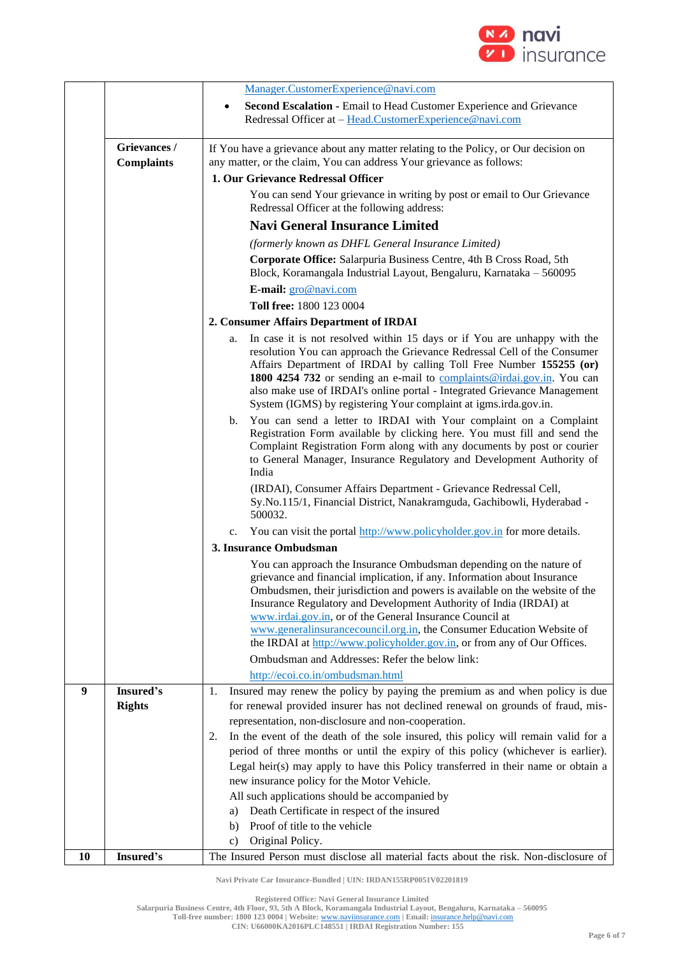

|    |                   | Manager.CustomerExperience@navi.com                                                                                                               |  |
|----|-------------------|---------------------------------------------------------------------------------------------------------------------------------------------------|--|
|    |                   | Second Escalation - Email to Head Customer Experience and Grievance<br>٠                                                                          |  |
|    |                   | Redressal Officer at - Head.CustomerExperience@navi.com                                                                                           |  |
|    |                   |                                                                                                                                                   |  |
|    | Grievances /      | If You have a grievance about any matter relating to the Policy, or Our decision on                                                               |  |
|    | <b>Complaints</b> | any matter, or the claim, You can address Your grievance as follows:                                                                              |  |
|    |                   | 1. Our Grievance Redressal Officer                                                                                                                |  |
|    |                   | You can send Your grievance in writing by post or email to Our Grievance                                                                          |  |
|    |                   | Redressal Officer at the following address:                                                                                                       |  |
|    |                   | <b>Navi General Insurance Limited</b>                                                                                                             |  |
|    |                   | (formerly known as DHFL General Insurance Limited)                                                                                                |  |
|    |                   | Corporate Office: Salarpuria Business Centre, 4th B Cross Road, 5th<br>Block, Koramangala Industrial Layout, Bengaluru, Karnataka - 560095        |  |
|    |                   | E-mail: gro@navi.com                                                                                                                              |  |
|    |                   | Toll free: 1800 123 0004                                                                                                                          |  |
|    |                   |                                                                                                                                                   |  |
|    |                   | 2. Consumer Affairs Department of IRDAI                                                                                                           |  |
|    |                   | In case it is not resolved within 15 days or if You are unhappy with the<br>a.                                                                    |  |
|    |                   | resolution You can approach the Grievance Redressal Cell of the Consumer<br>Affairs Department of IRDAI by calling Toll Free Number 155255 (or)   |  |
|    |                   | 1800 4254 732 or sending an e-mail to complaints@irdai.gov.in. You can                                                                            |  |
|    |                   | also make use of IRDAI's online portal - Integrated Grievance Management                                                                          |  |
|    |                   | System (IGMS) by registering Your complaint at igms.irda.gov.in.                                                                                  |  |
|    |                   | You can send a letter to IRDAI with Your complaint on a Complaint<br>b.                                                                           |  |
|    |                   | Registration Form available by clicking here. You must fill and send the                                                                          |  |
|    |                   | Complaint Registration Form along with any documents by post or courier                                                                           |  |
|    |                   | to General Manager, Insurance Regulatory and Development Authority of                                                                             |  |
|    |                   | India                                                                                                                                             |  |
|    |                   | (IRDAI), Consumer Affairs Department - Grievance Redressal Cell,                                                                                  |  |
|    |                   | Sy.No.115/1, Financial District, Nanakramguda, Gachibowli, Hyderabad -                                                                            |  |
|    |                   | 500032.                                                                                                                                           |  |
|    |                   | You can visit the portal http://www.policyholder.gov.in for more details.                                                                         |  |
|    |                   | $c_{\cdot}$<br>3. Insurance Ombudsman                                                                                                             |  |
|    |                   |                                                                                                                                                   |  |
|    |                   | You can approach the Insurance Ombudsman depending on the nature of                                                                               |  |
|    |                   | grievance and financial implication, if any. Information about Insurance                                                                          |  |
|    |                   | Ombudsmen, their jurisdiction and powers is available on the website of the<br>Insurance Regulatory and Development Authority of India (IRDAI) at |  |
|    |                   | www.irdai.gov.in, or of the General Insurance Council at                                                                                          |  |
|    |                   | www.generalinsurancecouncil.org.in, the Consumer Education Website of                                                                             |  |
|    |                   | the IRDAI at http://www.policyholder.gov.in, or from any of Our Offices.                                                                          |  |
|    |                   | Ombudsman and Addresses: Refer the below link:                                                                                                    |  |
|    |                   |                                                                                                                                                   |  |
|    |                   | http://ecoi.co.in/ombudsman.html                                                                                                                  |  |
| 9  | Insured's         | Insured may renew the policy by paying the premium as and when policy is due<br>1.                                                                |  |
|    | <b>Rights</b>     | for renewal provided insurer has not declined renewal on grounds of fraud, mis-                                                                   |  |
|    |                   | representation, non-disclosure and non-cooperation.                                                                                               |  |
|    |                   | In the event of the death of the sole insured, this policy will remain valid for a<br>2.                                                          |  |
|    |                   | period of three months or until the expiry of this policy (whichever is earlier).                                                                 |  |
|    |                   | Legal heir(s) may apply to have this Policy transferred in their name or obtain a                                                                 |  |
|    |                   | new insurance policy for the Motor Vehicle.                                                                                                       |  |
|    |                   | All such applications should be accompanied by                                                                                                    |  |
|    |                   | Death Certificate in respect of the insured<br>a)                                                                                                 |  |
|    |                   | Proof of title to the vehicle<br>b)                                                                                                               |  |
|    |                   | Original Policy.<br>c)                                                                                                                            |  |
| 10 | Insured's         | The Insured Person must disclose all material facts about the risk. Non-disclosure of                                                             |  |
|    |                   |                                                                                                                                                   |  |

**Registered Office: Navi General Insurance Limited**

**Salarpuria Business Centre, 4th Floor, 93, 5th A Block, Koramangala Industrial Layout, Bengaluru, Karnataka – 560095**

**Toll-free number: 1800 123 0004 | Website:** [www.naviinsurance.com](http://www.naviinsurance.com/) **| Email:** [insurance.help@navi.com](mailto:insurance.help@navi.com)